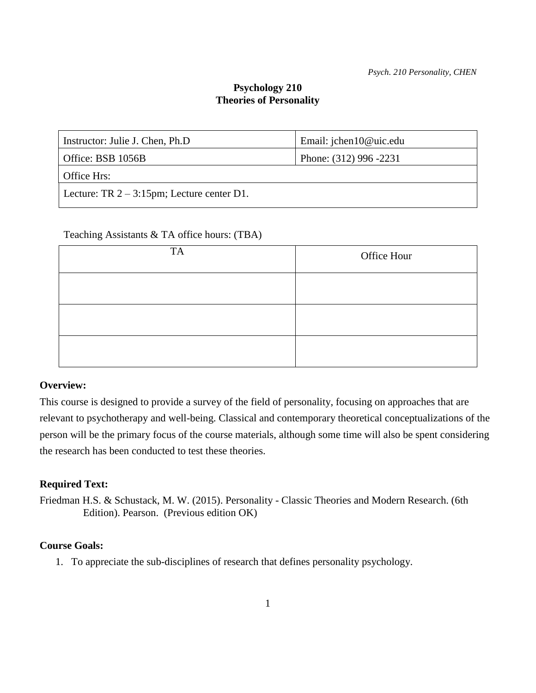# **Psychology 210 Theories of Personality**

| Instructor: Julie J. Chen, Ph.D               | Email: jchen10@uic.edu |  |  |  |
|-----------------------------------------------|------------------------|--|--|--|
| Office: BSB 1056B                             | Phone: (312) 996 -2231 |  |  |  |
| Office Hrs:                                   |                        |  |  |  |
| Lecture: TR $2 - 3:15$ pm; Lecture center D1. |                        |  |  |  |
|                                               |                        |  |  |  |

## Teaching Assistants & TA office hours: (TBA)

| <b>TA</b> | Office Hour |
|-----------|-------------|
|           |             |
|           |             |
|           |             |

## **Overview:**

This course is designed to provide a survey of the field of personality, focusing on approaches that are relevant to psychotherapy and well-being. Classical and contemporary theoretical conceptualizations of the person will be the primary focus of the course materials, although some time will also be spent considering the research has been conducted to test these theories.

# **Required Text:**

Friedman H.S. & Schustack, M. W. (2015). Personality - Classic Theories and Modern Research. (6th Edition). Pearson. (Previous edition OK)

# **Course Goals:**

1. To appreciate the sub-disciplines of research that defines personality psychology.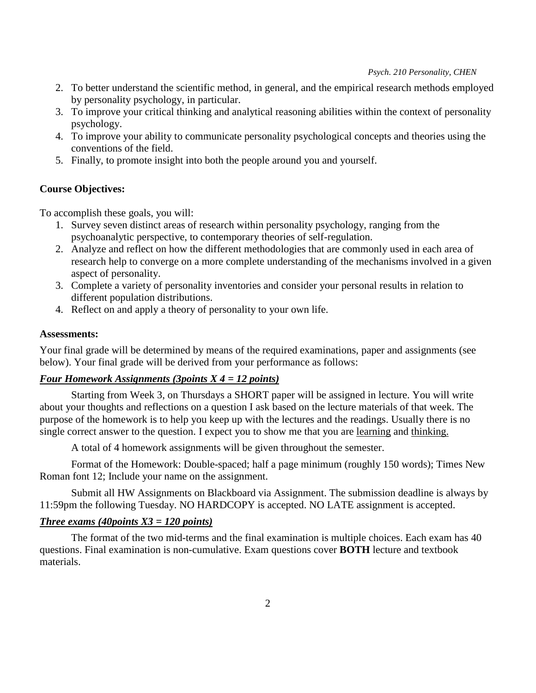*Psych. 210 Personality, CHEN*

- 2. To better understand the scientific method, in general, and the empirical research methods employed by personality psychology, in particular.
- 3. To improve your critical thinking and analytical reasoning abilities within the context of personality psychology.
- 4. To improve your ability to communicate personality psychological concepts and theories using the conventions of the field.
- 5. Finally, to promote insight into both the people around you and yourself.

# **Course Objectives:**

To accomplish these goals, you will:

- 1. Survey seven distinct areas of research within personality psychology, ranging from the psychoanalytic perspective, to contemporary theories of self-regulation.
- 2. Analyze and reflect on how the different methodologies that are commonly used in each area of research help to converge on a more complete understanding of the mechanisms involved in a given aspect of personality.
- 3. Complete a variety of personality inventories and consider your personal results in relation to different population distributions.
- 4. Reflect on and apply a theory of personality to your own life.

## **Assessments:**

Your final grade will be determined by means of the required examinations, paper and assignments (see below). Your final grade will be derived from your performance as follows:

# *Four Homework Assignments (3points X 4 = 12 points)*

Starting from Week 3, on Thursdays a SHORT paper will be assigned in lecture. You will write about your thoughts and reflections on a question I ask based on the lecture materials of that week. The purpose of the homework is to help you keep up with the lectures and the readings. Usually there is no single correct answer to the question. I expect you to show me that you are learning and thinking.

A total of 4 homework assignments will be given throughout the semester.

 Format of the Homework: Double-spaced; half a page minimum (roughly 150 words); Times New Roman font 12; Include your name on the assignment.

Submit all HW Assignments on Blackboard via Assignment. The submission deadline is always by 11:59pm the following Tuesday. NO HARDCOPY is accepted. NO LATE assignment is accepted.

# *Three exams (40points X3 = 120 points)*

The format of the two mid-terms and the final examination is multiple choices. Each exam has 40 questions. Final examination is non-cumulative. Exam questions cover **BOTH** lecture and textbook materials.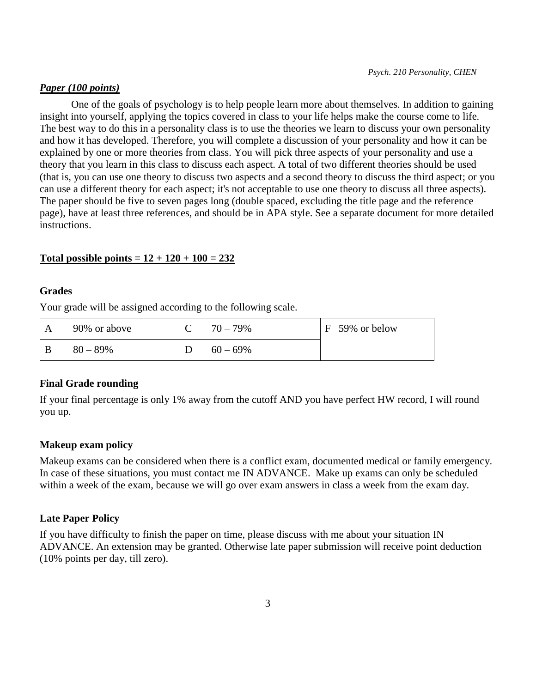#### *Paper (100 points)*

One of the goals of psychology is to help people learn more about themselves. In addition to gaining insight into yourself, applying the topics covered in class to your life helps make the course come to life. The best way to do this in a personality class is to use the theories we learn to discuss your own personality and how it has developed. Therefore, you will complete a discussion of your personality and how it can be explained by one or more theories from class. You will pick three aspects of your personality and use a theory that you learn in this class to discuss each aspect. A total of two different theories should be used (that is, you can use one theory to discuss two aspects and a second theory to discuss the third aspect; or you can use a different theory for each aspect; it's not acceptable to use one theory to discuss all three aspects). The paper should be five to seven pages long (double spaced, excluding the title page and the reference page), have at least three references, and should be in APA style. See a separate document for more detailed instructions.

#### **Total possible points = 12 + 120 + 100 = 232**

#### **Grades**

Your grade will be assigned according to the following scale.

| 90% or above | $70 - 79\%$ | $F$ 59% or below |
|--------------|-------------|------------------|
| $80 - 89%$   | $60 - 69\%$ |                  |

#### **Final Grade rounding**

If your final percentage is only 1% away from the cutoff AND you have perfect HW record, I will round you up.

#### **Makeup exam policy**

Makeup exams can be considered when there is a conflict exam, documented medical or family emergency. In case of these situations, you must contact me IN ADVANCE. Make up exams can only be scheduled within a week of the exam, because we will go over exam answers in class a week from the exam day.

#### **Late Paper Policy**

If you have difficulty to finish the paper on time, please discuss with me about your situation IN ADVANCE. An extension may be granted. Otherwise late paper submission will receive point deduction (10% points per day, till zero).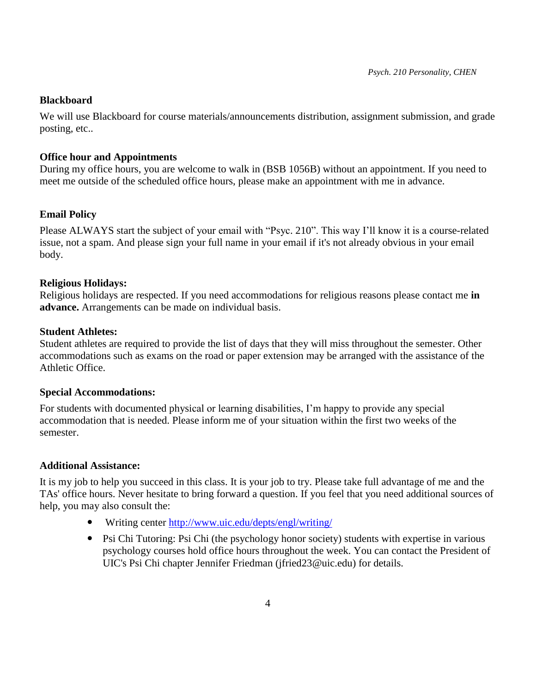## **Blackboard**

We will use Blackboard for course materials/announcements distribution, assignment submission, and grade posting, etc..

## **Office hour and Appointments**

During my office hours, you are welcome to walk in (BSB 1056B) without an appointment. If you need to meet me outside of the scheduled office hours, please make an appointment with me in advance.

# **Email Policy**

Please ALWAYS start the subject of your email with "Psyc. 210". This way I'll know it is a course-related issue, not a spam. And please sign your full name in your email if it's not already obvious in your email body.

## **Religious Holidays:**

Religious holidays are respected. If you need accommodations for religious reasons please contact me **in advance.** Arrangements can be made on individual basis.

#### **Student Athletes:**

Student athletes are required to provide the list of days that they will miss throughout the semester. Other accommodations such as exams on the road or paper extension may be arranged with the assistance of the Athletic Office.

#### **Special Accommodations:**

For students with documented physical or learning disabilities, I'm happy to provide any special accommodation that is needed. Please inform me of your situation within the first two weeks of the semester.

# **Additional Assistance:**

It is my job to help you succeed in this class. It is your job to try. Please take full advantage of me and the TAs' office hours. Never hesitate to bring forward a question. If you feel that you need additional sources of help, you may also consult the:

- Writing center<http://www.uic.edu/depts/engl/writing/>
- Psi Chi Tutoring: Psi Chi (the psychology honor society) students with expertise in various psychology courses hold office hours throughout the week. You can contact the President of UIC's Psi Chi chapter Jennifer Friedman (jfried23@uic.edu) for details.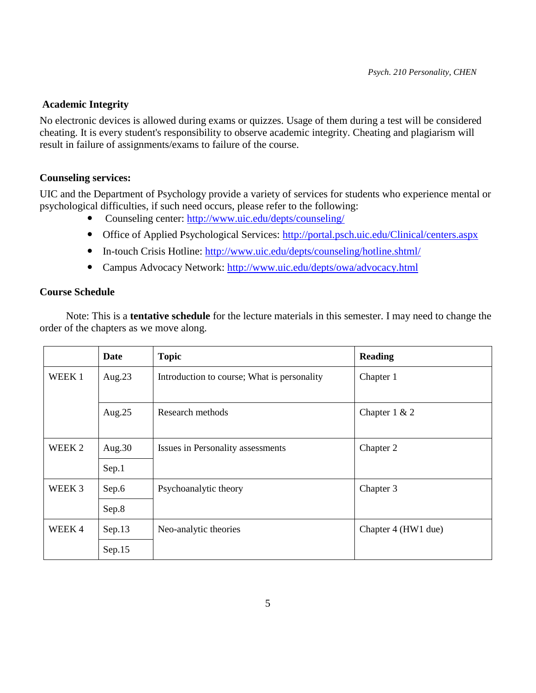## **Academic Integrity**

No electronic devices is allowed during exams or quizzes. Usage of them during a test will be considered cheating. It is every student's responsibility to observe academic integrity. Cheating and plagiarism will result in failure of assignments/exams to failure of the course.

## **Counseling services:**

UIC and the Department of Psychology provide a variety of services for students who experience mental or psychological difficulties, if such need occurs, please refer to the following:

- Counseling center:<http://www.uic.edu/depts/counseling/>
- Office of Applied Psychological Services:<http://portal.psch.uic.edu/Clinical/centers.aspx>
- In-touch Crisis Hotline:<http://www.uic.edu/depts/counseling/hotline.shtml/>
- Campus Advocacy Network:<http://www.uic.edu/depts/owa/advocacy.html>

## **Course Schedule**

 Note: This is a **tentative schedule** for the lecture materials in this semester. I may need to change the order of the chapters as we move along.

|        | Date      | <b>Topic</b>                                | <b>Reading</b>      |
|--------|-----------|---------------------------------------------|---------------------|
| WEEK 1 | Aug. $23$ | Introduction to course; What is personality | Chapter 1           |
|        | Aug. $25$ | Research methods                            | Chapter $1 & 2$     |
| WEEK 2 | Aug.30    | Issues in Personality assessments           | Chapter 2           |
|        | Sep.1     |                                             |                     |
| WEEK 3 | Sep.6     | Psychoanalytic theory                       | Chapter 3           |
|        | Sep.8     |                                             |                     |
| WEEK4  | Sep.13    | Neo-analytic theories                       | Chapter 4 (HW1 due) |
|        | Sep.15    |                                             |                     |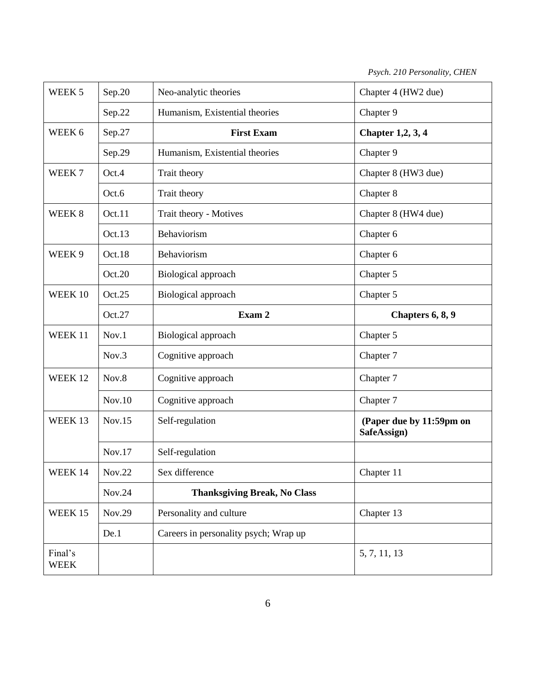*Psych. 210 Personality, CHEN*

| WEEK <sub>5</sub>          | Sep.20 | Neo-analytic theories                 | Chapter 4 (HW2 due)                     |
|----------------------------|--------|---------------------------------------|-----------------------------------------|
|                            | Sep.22 | Humanism, Existential theories        | Chapter 9                               |
| WEEK 6                     | Sep.27 | <b>First Exam</b>                     | <b>Chapter 1,2, 3, 4</b>                |
|                            | Sep.29 | Humanism, Existential theories        | Chapter 9                               |
| WEEK <sub>7</sub><br>Oct.4 |        | Trait theory                          | Chapter 8 (HW3 due)                     |
|                            | Oct.6  | Trait theory                          | Chapter 8                               |
| WEEK 8<br>Oct.11           |        | Trait theory - Motives                | Chapter 8 (HW4 due)                     |
|                            | Oct.13 | Behaviorism                           | Chapter 6                               |
| WEEK 9                     | Oct.18 | Behaviorism                           | Chapter 6                               |
|                            | Oct.20 | Biological approach                   | Chapter 5                               |
| WEEK 10                    | Oct.25 | Biological approach                   | Chapter 5                               |
|                            | Oct.27 | Exam 2                                | Chapters 6, 8, 9                        |
| WEEK 11                    | Nov.1  | Biological approach                   | Chapter 5                               |
|                            | Nov.3  | Cognitive approach                    | Chapter 7                               |
| WEEK 12                    | Nov.8  | Cognitive approach                    | Chapter 7                               |
|                            | Nov.10 | Cognitive approach                    | Chapter 7                               |
| WEEK 13                    | Nov.15 | Self-regulation                       | (Paper due by 11:59pm on<br>SafeAssign) |
|                            | Nov.17 | Self-regulation                       |                                         |
| WEEK 14                    | Nov.22 | Sex difference                        | Chapter 11                              |
|                            | Nov.24 | <b>Thanksgiving Break, No Class</b>   |                                         |
| WEEK 15                    | Nov.29 | Personality and culture               | Chapter 13                              |
|                            | De.1   | Careers in personality psych; Wrap up |                                         |
| Final's                    |        |                                       |                                         |